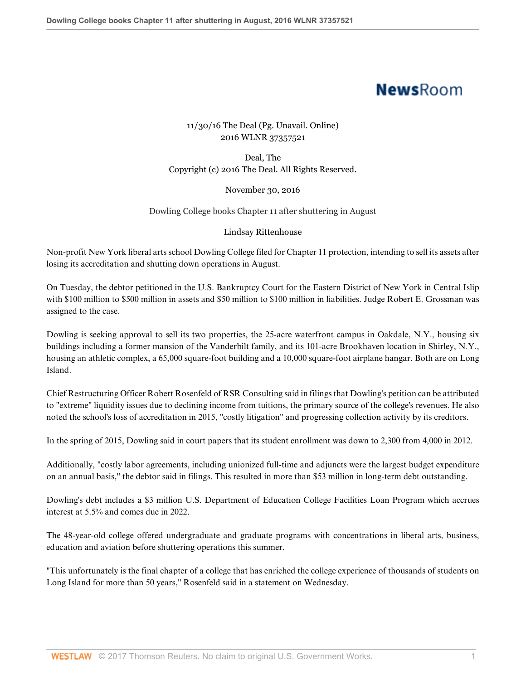## **NewsRoom**

## 11/30/16 The Deal (Pg. Unavail. Online) 2016 WLNR 37357521

Deal, The Copyright (c) 2016 The Deal. All Rights Reserved.

November 30, 2016

Dowling College books Chapter 11 after shuttering in August

## Lindsay Rittenhouse

Non-profit New York liberal arts school Dowling College filed for Chapter 11 protection, intending to sell its assets after losing its accreditation and shutting down operations in August.

On Tuesday, the debtor petitioned in the U.S. Bankruptcy Court for the Eastern District of New York in Central Islip with \$100 million to \$500 million in assets and \$50 million to \$100 million in liabilities. Judge Robert E. Grossman was assigned to the case.

Dowling is seeking approval to sell its two properties, the 25-acre waterfront campus in Oakdale, N.Y., housing six buildings including a former mansion of the Vanderbilt family, and its 101-acre Brookhaven location in Shirley, N.Y., housing an athletic complex, a 65,000 square-foot building and a 10,000 square-foot airplane hangar. Both are on Long Island.

Chief Restructuring Officer Robert Rosenfeld of RSR Consulting said in filings that Dowling's petition can be attributed to "extreme" liquidity issues due to declining income from tuitions, the primary source of the college's revenues. He also noted the school's loss of accreditation in 2015, "costly litigation" and progressing collection activity by its creditors.

In the spring of 2015, Dowling said in court papers that its student enrollment was down to 2,300 from 4,000 in 2012.

Additionally, "costly labor agreements, including unionized full-time and adjuncts were the largest budget expenditure on an annual basis," the debtor said in filings. This resulted in more than \$53 million in long-term debt outstanding.

Dowling's debt includes a \$3 million U.S. Department of Education College Facilities Loan Program which accrues interest at 5.5% and comes due in 2022.

The 48-year-old college offered undergraduate and graduate programs with concentrations in liberal arts, business, education and aviation before shuttering operations this summer.

"This unfortunately is the final chapter of a college that has enriched the college experience of thousands of students on Long Island for more than 50 years," Rosenfeld said in a statement on Wednesday.